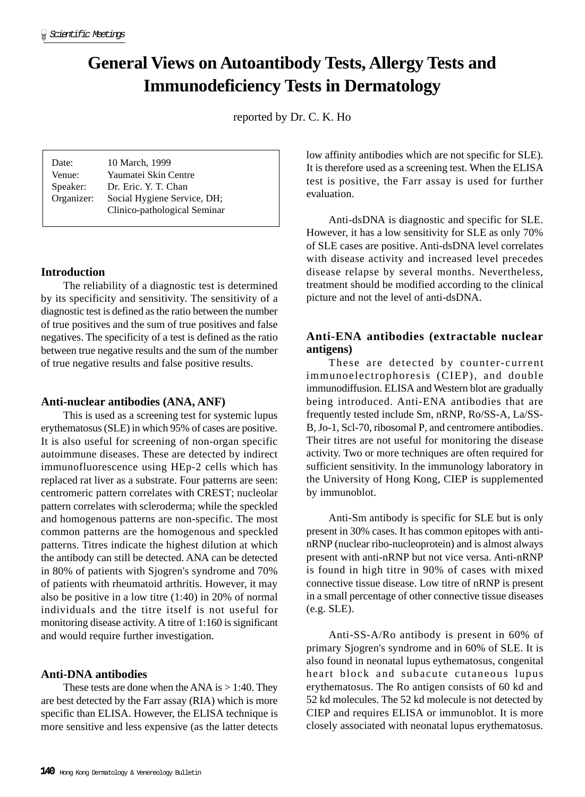# **General Views on Autoantibody Tests, Allergy Tests and Immunodeficiency Tests in Dermatology**

reported by Dr. C. K. Ho

| Date:      | 10 March, 1999               |
|------------|------------------------------|
| Venue:     | Yaumatei Skin Centre         |
| Speaker:   | Dr. Eric. Y. T. Chan         |
| Organizer: | Social Hygiene Service, DH;  |
|            | Clinico-pathological Seminar |

## **Introduction**

The reliability of a diagnostic test is determined by its specificity and sensitivity. The sensitivity of a diagnostic test is defined as the ratio between the number of true positives and the sum of true positives and false negatives. The specificity of a test is defined as the ratio between true negative results and the sum of the number of true negative results and false positive results.

## **Anti-nuclear antibodies (ANA, ANF)**

This is used as a screening test for systemic lupus erythematosus (SLE) in which 95% of cases are positive. It is also useful for screening of non-organ specific autoimmune diseases. These are detected by indirect immunofluorescence using HEp-2 cells which has replaced rat liver as a substrate. Four patterns are seen: centromeric pattern correlates with CREST; nucleolar pattern correlates with scleroderma; while the speckled and homogenous patterns are non-specific. The most common patterns are the homogenous and speckled patterns. Titres indicate the highest dilution at which the antibody can still be detected. ANA can be detected in 80% of patients with Sjogren's syndrome and 70% of patients with rheumatoid arthritis. However, it may also be positive in a low titre (1:40) in 20% of normal individuals and the titre itself is not useful for monitoring disease activity. A titre of 1:160 is significant and would require further investigation.

## **Anti-DNA antibodies**

These tests are done when the ANA is  $> 1:40$ . They are best detected by the Farr assay (RIA) which is more specific than ELISA. However, the ELISA technique is more sensitive and less expensive (as the latter detects low affinity antibodies which are not specific for SLE). It is therefore used as a screening test. When the ELISA test is positive, the Farr assay is used for further evaluation.

Anti-dsDNA is diagnostic and specific for SLE. However, it has a low sensitivity for SLE as only 70% of SLE cases are positive. Anti-dsDNA level correlates with disease activity and increased level precedes disease relapse by several months. Nevertheless, treatment should be modified according to the clinical picture and not the level of anti-dsDNA.

## **Anti-ENA antibodies (extractable nuclear antigens)**

These are detected by counter-current immunoelectrophoresis (CIEP), and double immunodiffusion. ELISA and Western blot are gradually being introduced. Anti-ENA antibodies that are frequently tested include Sm, nRNP, Ro/SS-A, La/SS-B, Jo-1, Scl-70, ribosomal P, and centromere antibodies. Their titres are not useful for monitoring the disease activity. Two or more techniques are often required for sufficient sensitivity. In the immunology laboratory in the University of Hong Kong, CIEP is supplemented by immunoblot.

Anti-Sm antibody is specific for SLE but is only present in 30% cases. It has common epitopes with antinRNP (nuclear ribo-nucleoprotein) and is almost always present with anti-nRNP but not vice versa. Anti-nRNP is found in high titre in 90% of cases with mixed connective tissue disease. Low titre of nRNP is present in a small percentage of other connective tissue diseases (e.g. SLE).

Anti-SS-A/Ro antibody is present in 60% of primary Sjogren's syndrome and in 60% of SLE. It is also found in neonatal lupus eythematosus, congenital heart block and subacute cutaneous lupus erythematosus. The Ro antigen consists of 60 kd and 52 kd molecules. The 52 kd molecule is not detected by CIEP and requires ELISA or immunoblot. It is more closely associated with neonatal lupus erythematosus.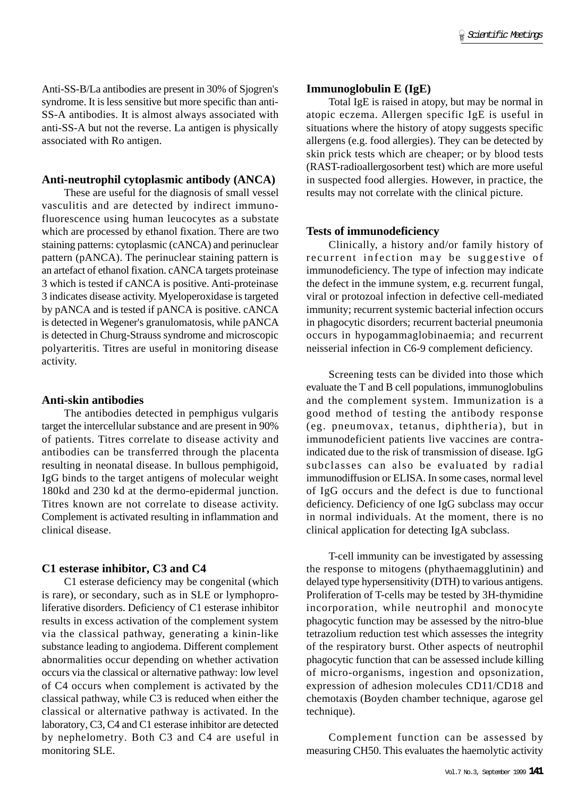Anti-SS-B/La antibodies are present in 30% of Sjogren's syndrome. It is less sensitive but more specific than anti-SS-A antibodies. It is almost always associated with anti-SS-A but not the reverse. La antigen is physically associated with Ro antigen.

#### **Anti-neutrophil cytoplasmic antibody (ANCA)**

These are useful for the diagnosis of small vessel vasculitis and are detected by indirect immunofluorescence using human leucocytes as a substate which are processed by ethanol fixation. There are two staining patterns: cytoplasmic (cANCA) and perinuclear pattern (pANCA). The perinuclear staining pattern is an artefact of ethanol fixation. cANCA targets proteinase 3 which is tested if cANCA is positive. Anti-proteinase 3 indicates disease activity. Myeloperoxidase is targeted by pANCA and is tested if pANCA is positive. cANCA is detected in Wegener's granulomatosis, while pANCA is detected in Churg-Strauss syndrome and microscopic polyarteritis. Titres are useful in monitoring disease activity.

#### **Anti-skin antibodies**

The antibodies detected in pemphigus vulgaris target the intercellular substance and are present in 90% of patients. Titres correlate to disease activity and antibodies can be transferred through the placenta resulting in neonatal disease. In bullous pemphigoid, IgG binds to the target antigens of molecular weight 180kd and 230 kd at the dermo-epidermal junction. Titres known are not correlate to disease activity. Complement is activated resulting in inflammation and clinical disease.

#### **C1 esterase inhibitor, C3 and C4**

C1 esterase deficiency may be congenital (which is rare), or secondary, such as in SLE or lymphoproliferative disorders. Deficiency of C1 esterase inhibitor results in excess activation of the complement system via the classical pathway, generating a kinin-like substance leading to angiodema. Different complement abnormalities occur depending on whether activation occurs via the classical or alternative pathway: low level of C4 occurs when complement is activated by the classical pathway, while C3 is reduced when either the classical or alternative pathway is activated. In the laboratory, C3, C4 and C1 esterase inhibitor are detected by nephelometry. Both C3 and C4 are useful in monitoring SLE.

#### **Immunoglobulin E (IgE)**

Total IgE is raised in atopy, but may be normal in atopic eczema. Allergen specific IgE is useful in situations where the history of atopy suggests specific allergens (e.g. food allergies). They can be detected by skin prick tests which are cheaper; or by blood tests (RAST-radioallergosorbent test) which are more useful in suspected food allergies. However, in practice, the results may not correlate with the clinical picture.

#### **Tests of immunodeficiency**

Clinically, a history and/or family history of recurrent infection may be suggestive of immunodeficiency. The type of infection may indicate the defect in the immune system, e.g. recurrent fungal, viral or protozoal infection in defective cell-mediated immunity; recurrent systemic bacterial infection occurs in phagocytic disorders; recurrent bacterial pneumonia occurs in hypogammaglobinaemia; and recurrent neisserial infection in C6-9 complement deficiency.

Screening tests can be divided into those which evaluate the T and B cell populations, immunoglobulins and the complement system. Immunization is a good method of testing the antibody response (eg. pneumovax, tetanus, diphtheria), but in immunodeficient patients live vaccines are contraindicated due to the risk of transmission of disease. IgG subclasses can also be evaluated by radial immunodiffusion or ELISA. In some cases, normal level of IgG occurs and the defect is due to functional deficiency. Deficiency of one IgG subclass may occur in normal individuals. At the moment, there is no clinical application for detecting IgA subclass.

T-cell immunity can be investigated by assessing the response to mitogens (phythaemagglutinin) and delayed type hypersensitivity (DTH) to various antigens. Proliferation of T-cells may be tested by 3H-thymidine incorporation, while neutrophil and monocyte phagocytic function may be assessed by the nitro-blue tetrazolium reduction test which assesses the integrity of the respiratory burst. Other aspects of neutrophil phagocytic function that can be assessed include killing of micro-organisms, ingestion and opsonization, expression of adhesion molecules CD11/CD18 and chemotaxis (Boyden chamber technique, agarose gel technique).

Complement function can be assessed by measuring CH50. This evaluates the haemolytic activity